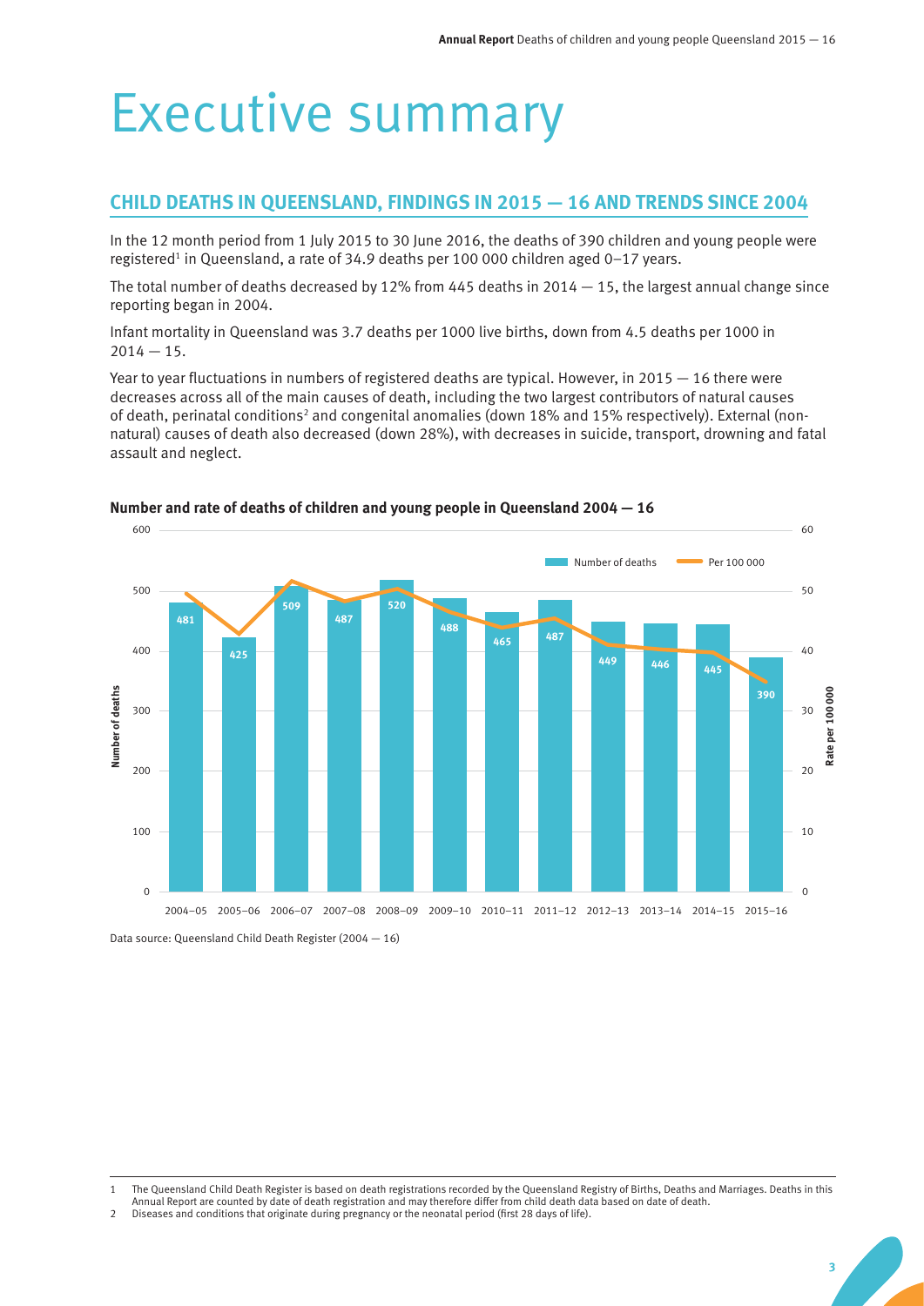# Executive summary

# **CHILD DEATHS IN QUEENSLAND, FINDINGS IN 2015 — 16 AND TRENDS SINCE 2004**

In the 12 month period from 1 July 2015 to 30 June 2016, the deaths of 390 children and young people were registered<sup>1</sup> in Queensland, a rate of 34.9 deaths per 100 000 children aged 0-17 years.

The total number of deaths decreased by 12% from 445 deaths in  $2014 - 15$ , the largest annual change since reporting began in 2004.

Infant mortality in Queensland was 3.7 deaths per 1000 live births, down from 4.5 deaths per 1000 in  $2014 - 15.$ 

Year to year fluctuations in numbers of registered deaths are typical. However, in 2015  $-$  16 there were decreases across all of the main causes of death, including the two largest contributors of natural causes of death, perinatal conditions<sup>2</sup> and congenital anomalies (down 18% and 15% respectively). External (nonnatural) causes of death also decreased (down 28%), with decreases in suicide, transport, drowning and fatal assault and neglect.



#### **Number and rate of deaths of children and young people in Queensland 2004 — 16**

Data source: Queensland Child Death Register (2004 — 16)

<sup>1</sup> The Queensland Child Death Register is based on death registrations recorded by the Queensland Registry of Births, Deaths and Marriages. Deaths in this

Annual Report are counted by date of death registration and may therefore differ from child death data based on date of death.

<sup>2</sup> Diseases and conditions that originate during pregnancy or the neonatal period (first 28 days of life).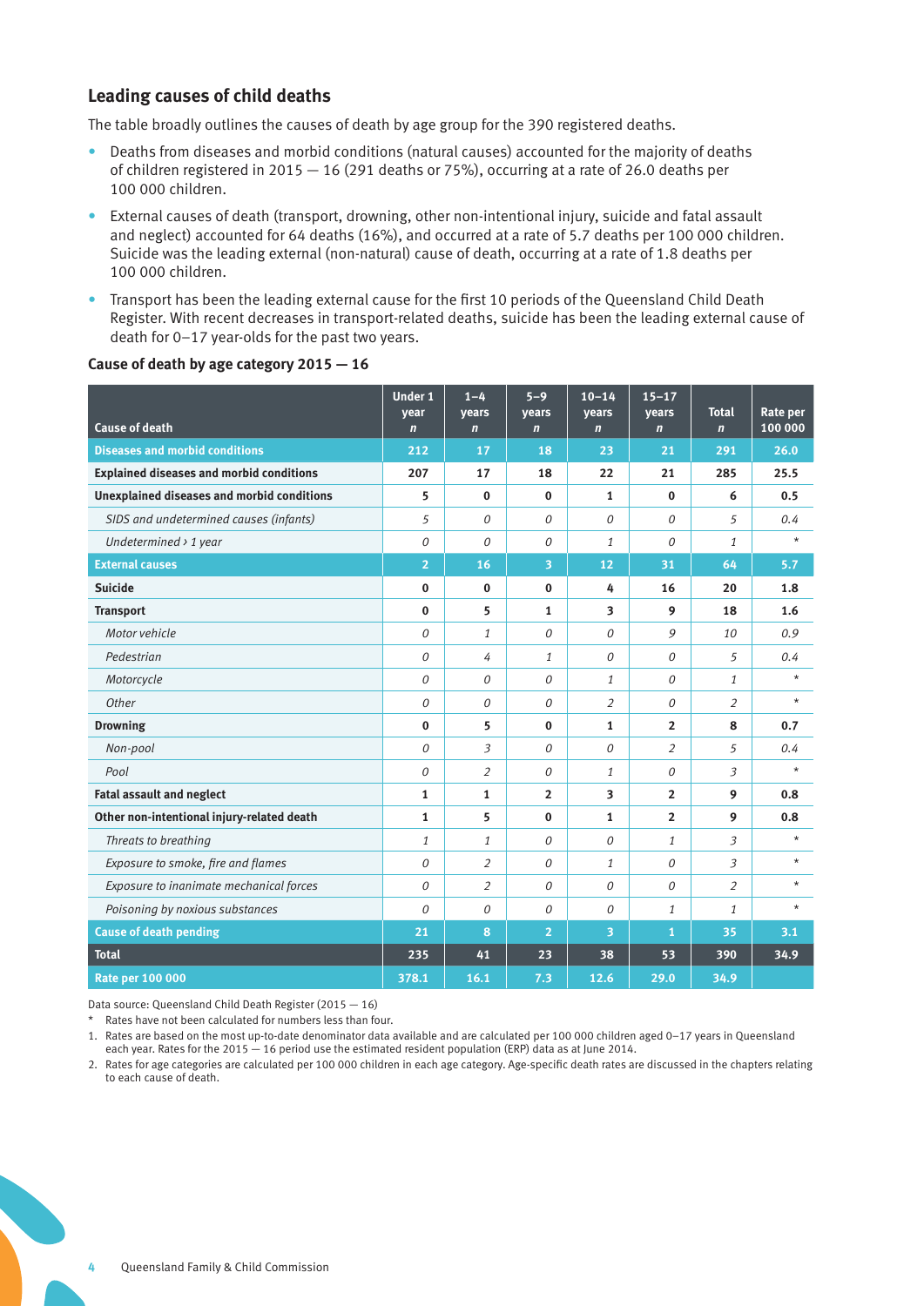# **Leading causes of child deaths**

The table broadly outlines the causes of death by age group for the 390 registered deaths.

- Deaths from diseases and morbid conditions (natural causes) accounted for the majority of deaths of children registered in 2015 — 16 (291 deaths or 75%), occurring at a rate of 26.0 deaths per 100 000 children.
- External causes of death (transport, drowning, other non-intentional injury, suicide and fatal assault and neglect) accounted for 64 deaths (16%), and occurred at a rate of 5.7 deaths per 100 000 children. Suicide was the leading external (non-natural) cause of death, occurring at a rate of 1.8 deaths per 100 000 children.
- Transport has been the leading external cause for the first 10 periods of the Queensland Child Death Register. With recent decreases in transport-related deaths, suicide has been the leading external cause of death for 0–17 year-olds for the past two years.

#### **Cause of death by age category 2015 — 16**

|                                                   | <b>Under 1</b><br>year | $1 - 4$<br>vears | $5 - 9$<br>years | $10 - 14$<br>vears | $15 - 17$<br>years | <b>Total</b>   | Rate per |
|---------------------------------------------------|------------------------|------------------|------------------|--------------------|--------------------|----------------|----------|
| <b>Cause of death</b>                             | $\mathbf n$            | $\mathbf n$      | $\mathbf n$      | $\mathbf n$        | $\mathbf n$        | $\mathbf n$    | 100 000  |
| <b>Diseases and morbid conditions</b>             | 212                    | 17               | 18               | 23                 | 21                 | 291            | 26.0     |
| <b>Explained diseases and morbid conditions</b>   | 207                    | 17               | 18               | 22                 | 21                 | 285            | 25.5     |
| <b>Unexplained diseases and morbid conditions</b> | 5                      | $\Omega$         | $\Omega$         | $\mathbf{1}$       | $\mathbf{0}$       | 6              | 0.5      |
| SIDS and undetermined causes (infants)            | 5                      | $\Omega$         | $\Omega$         | $\Omega$           | 0                  | 5              | 0.4      |
| Undetermined $\rightarrow$ 1 year                 | 0                      | $\Omega$         | $\theta$         | $\mathbf{1}$       | $\Omega$           | 1              | $\star$  |
| <b>External causes</b>                            | $\overline{2}$         | 16               | 3                | 12                 | 31                 | 64             | 5.7      |
| <b>Suicide</b>                                    | $\bf{0}$               | $\mathbf{0}$     | $\bf{0}$         | 4                  | 16                 | 20             | 1.8      |
| <b>Transport</b>                                  | $\bf{0}$               | 5                | $\mathbf{1}$     | 3                  | 9                  | 18             | 1.6      |
| Motor vehicle                                     | $\Omega$               | $\mathbf{1}$     | $\Omega$         | $\Omega$           | 9                  | 10             | 0.9      |
| Pedestrian                                        | $\Omega$               | 4                | $\mathbf{1}$     | $\Omega$           | 0                  | 5              | 0.4      |
| Motorcycle                                        | 0                      | 0                | 0                | $\mathbf{1}$       | 0                  | 1              | $^\star$ |
| Other                                             | 0                      | $\Omega$         | 0                | 2                  | 0                  | $\overline{2}$ | $\star$  |
| <b>Drowning</b>                                   | $\bf{0}$               | 5                | $\bf{0}$         | $\mathbf{1}$       | $\overline{2}$     | 8              | 0.7      |
| Non-pool                                          | $\Omega$               | 3                | $\Omega$         | $\Omega$           | $\overline{2}$     | 5              | 0.4      |
| Pool                                              | 0                      | $\overline{2}$   | $\Omega$         | $\mathbf{1}$       | $\Omega$           | 3              | $\star$  |
| <b>Fatal assault and neglect</b>                  | 1                      | $\mathbf{1}$     | $\overline{2}$   | 3                  | $\overline{2}$     | 9              | 0.8      |
| Other non-intentional injury-related death        | 1                      | 5                | $\mathbf{0}$     | 1                  | $\overline{2}$     | 9              | 0.8      |
| Threats to breathing                              | $\mathbf{1}$           | $\mathbf{1}$     | $\Omega$         | $\theta$           | $\mathbf{1}$       | 3              | $^\star$ |
| Exposure to smoke, fire and flames                | $\Omega$               | $\overline{2}$   | $\Omega$         | $\mathbf{1}$       | $\theta$           | 3              | $\star$  |
| Exposure to inanimate mechanical forces           | 0                      | $\overline{2}$   | 0                | $\theta$           | 0                  | 2              | $\star$  |
| Poisoning by noxious substances                   | $\Omega$               | $\Omega$         | 0                | $\Omega$           | $\mathbf{1}$       | $\mathbf{1}$   | $\star$  |
| <b>Cause of death pending</b>                     | 21                     | 8                | $\overline{2}$   | 3                  | $\mathbf{1}$       | 35             | 3.1      |
| <b>Total</b>                                      | 235                    | 41               | 23               | 38                 | 53                 | 390            | 34.9     |
| <b>Rate per 100 000</b>                           | 378.1                  | 16.1             | 7.3              | 12.6               | 29.0               | 34.9           |          |

Data source: Queensland Child Death Register (2015 — 16)

\* Rates have not been calculated for numbers less than four.

- 1. Rates are based on the most up-to-date denominator data available and are calculated per 100 000 children aged 0–17 years in Queensland each year. Rates for the 2015 — 16 period use the estimated resident population (ERP) data as at June 2014.
- 2. Rates for age categories are calculated per 100 000 children in each age category. Age-specific death rates are discussed in the chapters relating to each cause of death.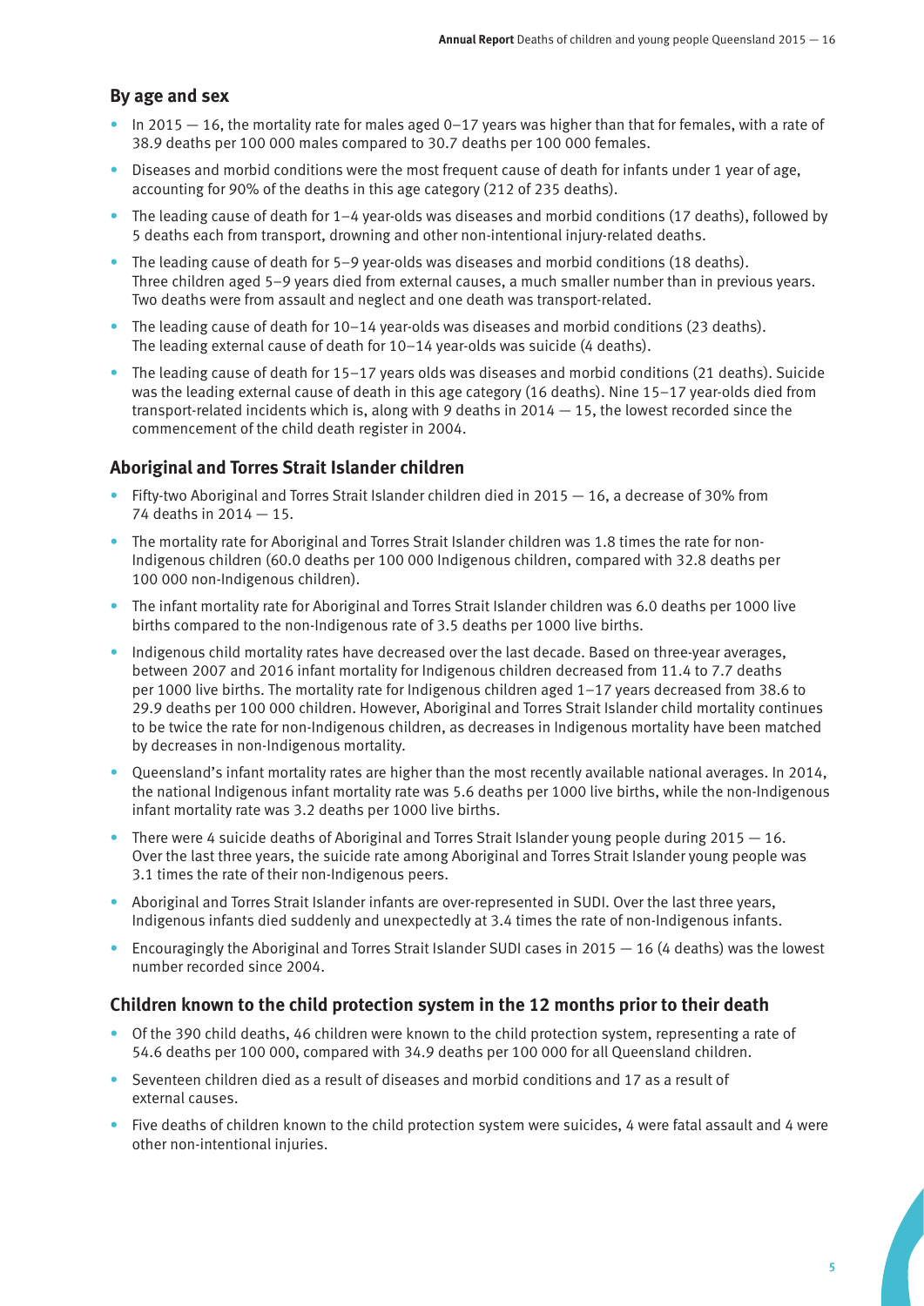# **By age and sex**

- In 2015  $-$  16, the mortality rate for males aged 0–17 years was higher than that for females, with a rate of 38.9 deaths per 100 000 males compared to 30.7 deaths per 100 000 females.
- Diseases and morbid conditions were the most frequent cause of death for infants under 1 year of age, accounting for 90% of the deaths in this age category (212 of 235 deaths).
- The leading cause of death for 1–4 year-olds was diseases and morbid conditions (17 deaths), followed by 5 deaths each from transport, drowning and other non-intentional injury-related deaths.
- The leading cause of death for 5–9 year-olds was diseases and morbid conditions (18 deaths). Three children aged 5–9 years died from external causes, a much smaller number than in previous years. Two deaths were from assault and neglect and one death was transport-related.
- The leading cause of death for 10–14 year-olds was diseases and morbid conditions (23 deaths). The leading external cause of death for 10–14 year-olds was suicide (4 deaths).
- The leading cause of death for 15–17 years olds was diseases and morbid conditions (21 deaths). Suicide was the leading external cause of death in this age category (16 deaths). Nine 15–17 year-olds died from transport-related incidents which is, along with 9 deaths in  $2014 - 15$ , the lowest recorded since the commencement of the child death register in 2004.

### **Aboriginal and Torres Strait Islander children**

- Fifty-two Aboriginal and Torres Strait Islander children died in 2015 16, a decrease of 30% from 74 deaths in 2014 — 15.
- The mortality rate for Aboriginal and Torres Strait Islander children was 1.8 times the rate for non-Indigenous children (60.0 deaths per 100 000 Indigenous children, compared with 32.8 deaths per 100 000 non-Indigenous children).
- The infant mortality rate for Aboriginal and Torres Strait Islander children was 6.0 deaths per 1000 live births compared to the non-Indigenous rate of 3.5 deaths per 1000 live births.
- Indigenous child mortality rates have decreased over the last decade. Based on three-year averages, between 2007 and 2016 infant mortality for Indigenous children decreased from 11.4 to 7.7 deaths per 1000 live births. The mortality rate for Indigenous children aged 1–17 years decreased from 38.6 to 29.9 deaths per 100 000 children. However, Aboriginal and Torres Strait Islander child mortality continues to be twice the rate for non-Indigenous children, as decreases in Indigenous mortality have been matched by decreases in non-Indigenous mortality.
- Queensland's infant mortality rates are higher than the most recently available national averages. In 2014, the national Indigenous infant mortality rate was 5.6 deaths per 1000 live births, while the non-Indigenous infant mortality rate was 3.2 deaths per 1000 live births.
- There were 4 suicide deaths of Aboriginal and Torres Strait Islander young people during  $2015 16$ . Over the last three years, the suicide rate among Aboriginal and Torres Strait Islander young people was 3.1 times the rate of their non-Indigenous peers.
- Aboriginal and Torres Strait Islander infants are over-represented in SUDI. Over the last three years, Indigenous infants died suddenly and unexpectedly at 3.4 times the rate of non-Indigenous infants.
- Encouragingly the Aboriginal and Torres Strait Islander SUDI cases in 2015  $-$  16 (4 deaths) was the lowest number recorded since 2004.

### **Children known to the child protection system in the 12 months prior to their death**

- Of the 390 child deaths, 46 children were known to the child protection system, representing a rate of 54.6 deaths per 100 000, compared with 34.9 deaths per 100 000 for all Queensland children.
- Seventeen children died as a result of diseases and morbid conditions and 17 as a result of external causes.
- Five deaths of children known to the child protection system were suicides, 4 were fatal assault and 4 were other non-intentional injuries.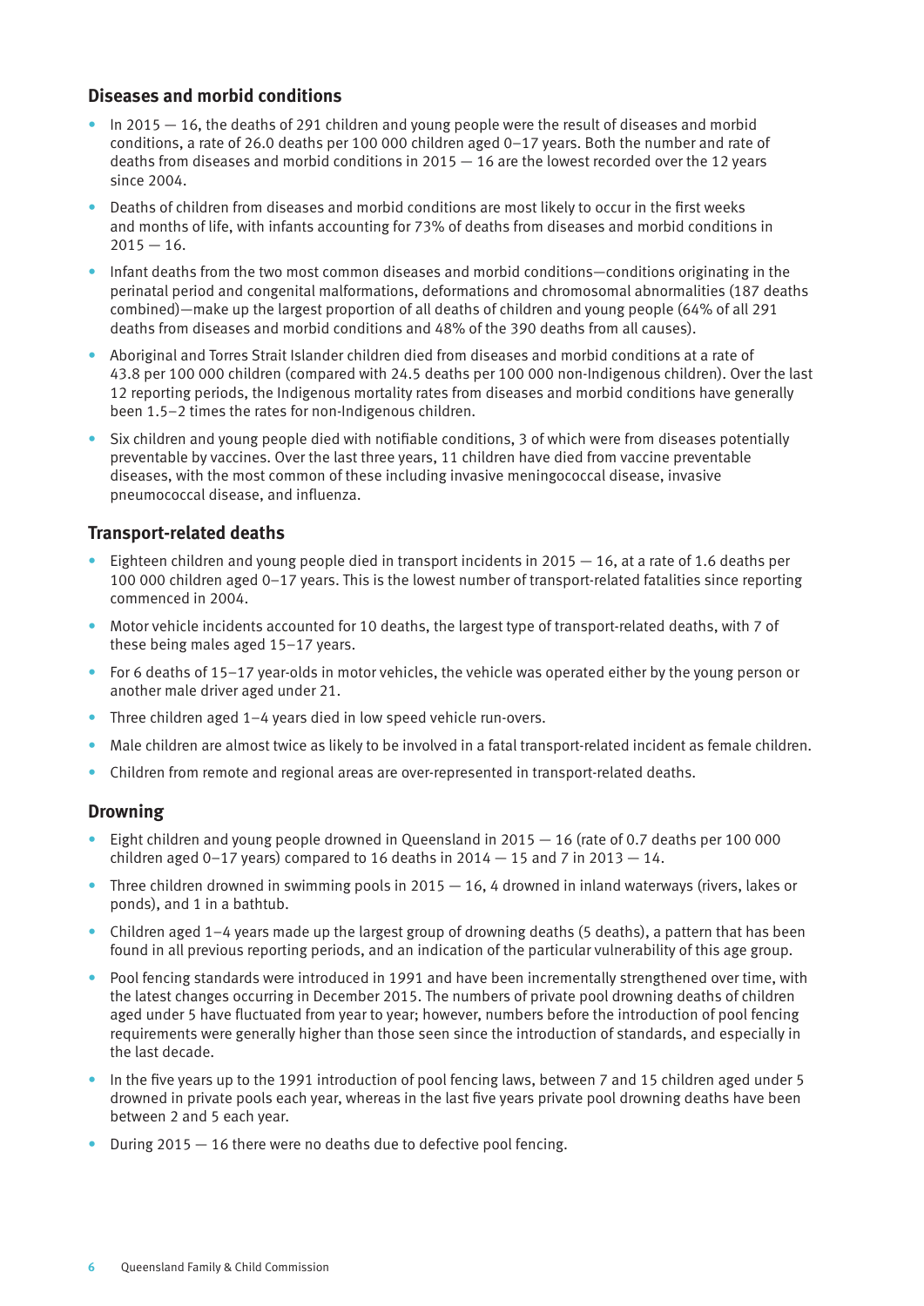# **Diseases and morbid conditions**

- $\bullet$  In 2015  $-$  16, the deaths of 291 children and young people were the result of diseases and morbid conditions, a rate of 26.0 deaths per 100 000 children aged 0–17 years. Both the number and rate of deaths from diseases and morbid conditions in 2015 — 16 are the lowest recorded over the 12 years since 2004.
- Deaths of children from diseases and morbid conditions are most likely to occur in the first weeks and months of life, with infants accounting for 73% of deaths from diseases and morbid conditions in  $2015 - 16.$
- Infant deaths from the two most common diseases and morbid conditions—conditions originating in the perinatal period and congenital malformations, deformations and chromosomal abnormalities (187 deaths combined)—make up the largest proportion of all deaths of children and young people (64% of all 291 deaths from diseases and morbid conditions and 48% of the 390 deaths from all causes).
- Aboriginal and Torres Strait Islander children died from diseases and morbid conditions at a rate of 43.8 per 100 000 children (compared with 24.5 deaths per 100 000 non-Indigenous children). Over the last 12 reporting periods, the Indigenous mortality rates from diseases and morbid conditions have generally been 1.5–2 times the rates for non-Indigenous children.
- Six children and young people died with notifiable conditions, 3 of which were from diseases potentially preventable by vaccines. Over the last three years, 11 children have died from vaccine preventable diseases, with the most common of these including invasive meningococcal disease, invasive pneumococcal disease, and influenza.

# **Transport-related deaths**

- Eighteen children and young people died in transport incidents in  $2015 16$ , at a rate of 1.6 deaths per 100 000 children aged 0–17 years. This is the lowest number of transport-related fatalities since reporting commenced in 2004.
- Motor vehicle incidents accounted for 10 deaths, the largest type of transport-related deaths, with 7 of these being males aged 15–17 years.
- For 6 deaths of 15–17 year-olds in motor vehicles, the vehicle was operated either by the young person or another male driver aged under 21.
- Three children aged 1-4 years died in low speed vehicle run-overs.
- Male children are almost twice as likely to be involved in a fatal transport-related incident as female children.
- Children from remote and regional areas are over-represented in transport-related deaths.

# **Drowning**

- Eight children and young people drowned in Queensland in 2015 16 (rate of 0.7 deaths per 100 000 children aged 0–17 years) compared to 16 deaths in  $2014 - 15$  and 7 in  $2013 - 14$ .
- Three children drowned in swimming pools in  $2015 16$ , 4 drowned in inland waterways (rivers, lakes or ponds), and 1 in a bathtub.
- Children aged 1–4 years made up the largest group of drowning deaths (5 deaths), a pattern that has been found in all previous reporting periods, and an indication of the particular vulnerability of this age group.
- Pool fencing standards were introduced in 1991 and have been incrementally strengthened over time, with the latest changes occurring in December 2015. The numbers of private pool drowning deaths of children aged under 5 have fluctuated from year to year; however, numbers before the introduction of pool fencing requirements were generally higher than those seen since the introduction of standards, and especially in the last decade.
- In the five years up to the 1991 introduction of pool fencing laws, between 7 and 15 children aged under 5 drowned in private pools each year, whereas in the last five years private pool drowning deaths have been between 2 and 5 each year.
- During  $2015 16$  there were no deaths due to defective pool fencing.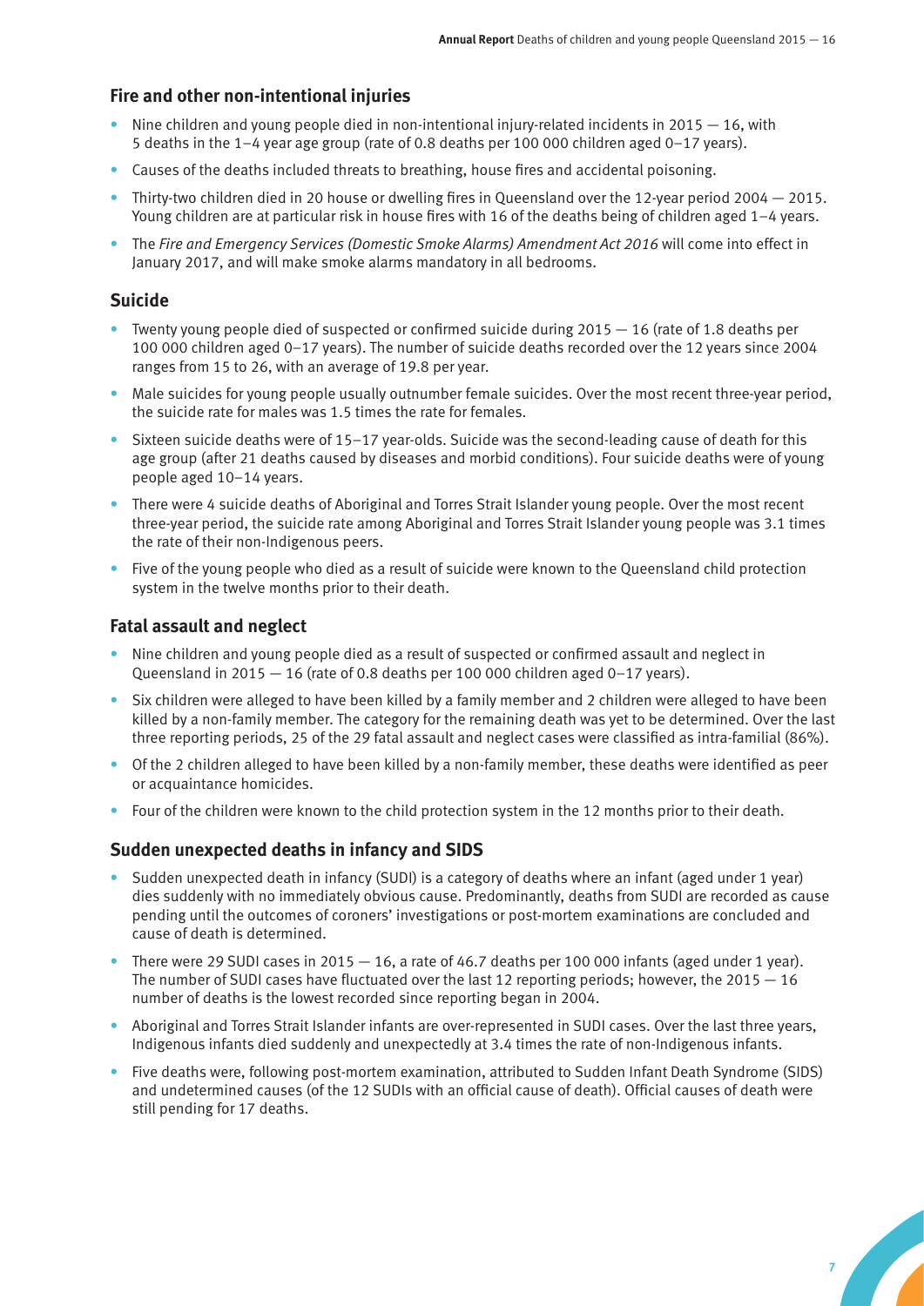#### **Fire and other non-intentional injuries**

- Nine children and young people died in non-intentional injury-related incidents in 2015  $-16$ , with 5 deaths in the 1–4 year age group (rate of 0.8 deaths per 100 000 children aged 0–17 years).
- Causes of the deaths included threats to breathing, house fires and accidental poisoning.
- Thirty-two children died in 20 house or dwelling fires in Queensland over the 12-year period  $2004 2015$ . Young children are at particular risk in house fires with 16 of the deaths being of children aged 1–4 years.
- The *Fire and Emergency Services (Domestic Smoke Alarms) Amendment Act 2016* will come into effect in January 2017, and will make smoke alarms mandatory in all bedrooms.

#### **Suicide**

- Twenty young people died of suspected or confirmed suicide during 2015 16 (rate of 1.8 deaths per 100 000 children aged 0–17 years). The number of suicide deaths recorded over the 12 years since 2004 ranges from 15 to 26, with an average of 19.8 per year.
- Male suicides for young people usually outnumber female suicides. Over the most recent three-year period, the suicide rate for males was 1.5 times the rate for females.
- Sixteen suicide deaths were of 15–17 year-olds. Suicide was the second-leading cause of death for this age group (after 21 deaths caused by diseases and morbid conditions). Four suicide deaths were of young people aged 10–14 years.
- There were 4 suicide deaths of Aboriginal and Torres Strait Islander young people. Over the most recent three-year period, the suicide rate among Aboriginal and Torres Strait Islander young people was 3.1 times the rate of their non-Indigenous peers.
- Five of the young people who died as a result of suicide were known to the Queensland child protection system in the twelve months prior to their death.

#### **Fatal assault and neglect**

- Nine children and young people died as a result of suspected or confirmed assault and neglect in Queensland in 2015 — 16 (rate of 0.8 deaths per 100 000 children aged 0–17 years).
- Six children were alleged to have been killed by a family member and 2 children were alleged to have been killed by a non-family member. The category for the remaining death was yet to be determined. Over the last three reporting periods, 25 of the 29 fatal assault and neglect cases were classified as intra-familial (86%).
- Of the 2 children alleged to have been killed by a non-family member, these deaths were identified as peer or acquaintance homicides.
- Four of the children were known to the child protection system in the 12 months prior to their death.

#### **Sudden unexpected deaths in infancy and SIDS**

- Sudden unexpected death in infancy (SUDI) is a category of deaths where an infant (aged under 1 year) dies suddenly with no immediately obvious cause. Predominantly, deaths from SUDI are recorded as cause pending until the outcomes of coroners' investigations or post-mortem examinations are concluded and cause of death is determined.
- There were 29 SUDI cases in 2015  $-$  16, a rate of 46.7 deaths per 100 000 infants (aged under 1 year). The number of SUDI cases have fluctuated over the last 12 reporting periods; however, the 2015  $-16$ number of deaths is the lowest recorded since reporting began in 2004.
- Aboriginal and Torres Strait Islander infants are over-represented in SUDI cases. Over the last three years, Indigenous infants died suddenly and unexpectedly at 3.4 times the rate of non-Indigenous infants.
- Five deaths were, following post-mortem examination, attributed to Sudden Infant Death Syndrome (SIDS) and undetermined causes (of the 12 SUDIs with an official cause of death). Official causes of death were still pending for 17 deaths.